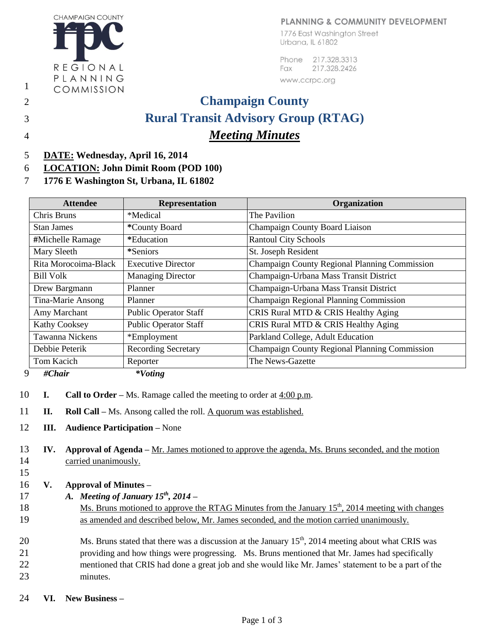## PLANNING & COMMUNITY DEVELOPMENT

1776 East Washington Street Urbana, IL 61802

Phone 217,328,3313 Fax 217.328.2426

www.ccrpc.org

## 2 **Champaign County** 3 **Rural Transit Advisory Group (RTAG)** 4 *Meeting Minutes*

- 5 **DATE: Wednesday, April 16, 2014**
- 6 **LOCATION: John Dimit Room (POD 100)**
- 7 **1776 E Washington St, Urbana, IL 61802**

| <b>Attendee</b>        | <b>Representation</b>        | Organization                                  |  |
|------------------------|------------------------------|-----------------------------------------------|--|
| Chris Bruns            | *Medical                     | The Pavilion                                  |  |
| <b>Stan James</b>      | *County Board                | Champaign County Board Liaison                |  |
| #Michelle Ramage       | *Education                   | <b>Rantoul City Schools</b>                   |  |
| Mary Sleeth            | *Seniors                     | St. Joseph Resident                           |  |
| Rita Morocoima-Black   | <b>Executive Director</b>    | Champaign County Regional Planning Commission |  |
| <b>Bill Volk</b>       | <b>Managing Director</b>     | Champaign-Urbana Mass Transit District        |  |
| Drew Bargmann          | Planner                      | Champaign-Urbana Mass Transit District        |  |
| Tina-Marie Ansong      | Planner                      | Champaign Regional Planning Commission        |  |
| Amy Marchant           | <b>Public Operator Staff</b> | CRIS Rural MTD & CRIS Healthy Aging           |  |
| <b>Kathy Cooksey</b>   | Public Operator Staff        | CRIS Rural MTD & CRIS Healthy Aging           |  |
| <b>Tawanna Nickens</b> | *Employment                  | Parkland College, Adult Education             |  |
| Debbie Peterik         | <b>Recording Secretary</b>   | Champaign County Regional Planning Commission |  |
| Tom Kacich             | Reporter                     | The News-Gazette                              |  |
| 9<br>#Chair            | $*Voting$                    |                                               |  |

- 10 **I. Call to Order –** Ms. Ramage called the meeting to order at 4:00 p.m.
- 11 **II. Roll Call –** Ms. Ansong called the roll. A quorum was established.
- 12 **III. Audience Participation –** None

13 **IV. Approval of Agenda –** Mr. James motioned to approve the agenda, Ms. Bruns seconded, and the motion 14 carried unanimously.

- 15
- 16 **V. Approval of Minutes –**
- 17 *A. Meeting of January*  $15^{th}$ *, 2014*
- 18 Ms. Bruns motioned to approve the RTAG Minutes from the January  $15<sup>th</sup>$ , 2014 meeting with changes 19 as amended and described below, Mr. James seconded, and the motion carried unanimously.

20 Ms. Bruns stated that there was a discussion at the January  $15<sup>th</sup>$ , 2014 meeting about what CRIS was 21 providing and how things were progressing. Ms. Bruns mentioned that Mr. James had specifically 22 mentioned that CRIS had done a great job and she would like Mr. James' statement to be a part of the 23 minutes.

24 **VI. New Business –**

REGIONAL PLANNING COMMISSION

**CHAMPAIGN COUNTY** 

1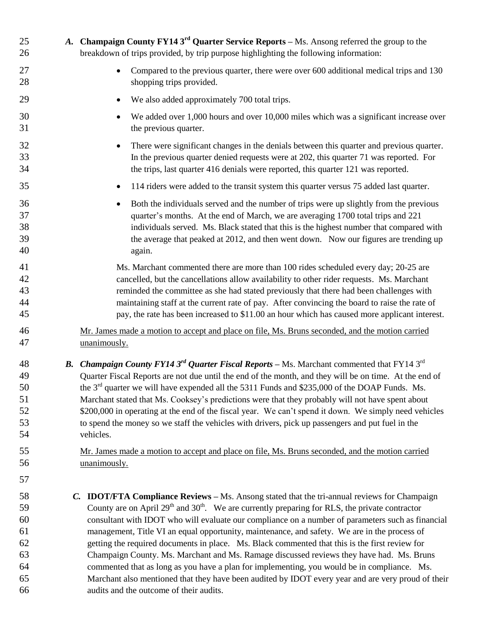| 25<br>26                                     | A. Champaign County FY14 $3rd$ Quarter Service Reports – Ms. Ansong referred the group to the<br>breakdown of trips provided, by trip purpose highlighting the following information:                                                                                                                                                                                                                                                                                                                                                                                                                                                                                                                                                                                                                                          |
|----------------------------------------------|--------------------------------------------------------------------------------------------------------------------------------------------------------------------------------------------------------------------------------------------------------------------------------------------------------------------------------------------------------------------------------------------------------------------------------------------------------------------------------------------------------------------------------------------------------------------------------------------------------------------------------------------------------------------------------------------------------------------------------------------------------------------------------------------------------------------------------|
| 27<br>28                                     | Compared to the previous quarter, there were over 600 additional medical trips and 130<br>shopping trips provided.                                                                                                                                                                                                                                                                                                                                                                                                                                                                                                                                                                                                                                                                                                             |
| 29                                           | We also added approximately 700 total trips.                                                                                                                                                                                                                                                                                                                                                                                                                                                                                                                                                                                                                                                                                                                                                                                   |
| 30<br>31                                     | We added over 1,000 hours and over 10,000 miles which was a significant increase over<br>the previous quarter.                                                                                                                                                                                                                                                                                                                                                                                                                                                                                                                                                                                                                                                                                                                 |
| 32<br>33<br>34                               | There were significant changes in the denials between this quarter and previous quarter.<br>In the previous quarter denied requests were at 202, this quarter 71 was reported. For<br>the trips, last quarter 416 denials were reported, this quarter 121 was reported.                                                                                                                                                                                                                                                                                                                                                                                                                                                                                                                                                        |
| 35                                           | 114 riders were added to the transit system this quarter versus 75 added last quarter.<br>$\bullet$                                                                                                                                                                                                                                                                                                                                                                                                                                                                                                                                                                                                                                                                                                                            |
| 36<br>37<br>38<br>39<br>40                   | Both the individuals served and the number of trips were up slightly from the previous<br>quarter's months. At the end of March, we are averaging 1700 total trips and 221<br>individuals served. Ms. Black stated that this is the highest number that compared with<br>the average that peaked at 2012, and then went down. Now our figures are trending up<br>again.                                                                                                                                                                                                                                                                                                                                                                                                                                                        |
| 41<br>42<br>43<br>44<br>45                   | Ms. Marchant commented there are more than 100 rides scheduled every day; 20-25 are<br>cancelled, but the cancellations allow availability to other rider requests. Ms. Marchant<br>reminded the committee as she had stated previously that there had been challenges with<br>maintaining staff at the current rate of pay. After convincing the board to raise the rate of<br>pay, the rate has been increased to \$11.00 an hour which has caused more applicant interest.                                                                                                                                                                                                                                                                                                                                                  |
| 46<br>47                                     | Mr. James made a motion to accept and place on file, Ms. Bruns seconded, and the motion carried<br>unanimously.                                                                                                                                                                                                                                                                                                                                                                                                                                                                                                                                                                                                                                                                                                                |
| 48<br>49<br>50<br>51<br>52<br>53<br>54       | <b>B.</b> Champaign County FY14 3 <sup>rd</sup> Quarter Fiscal Reports – Ms. Marchant commented that FY14 3 <sup>rd</sup><br>Quarter Fiscal Reports are not due until the end of the month, and they will be on time. At the end of<br>the 3 <sup>rd</sup> quarter we will have expended all the 5311 Funds and \$235,000 of the DOAP Funds. Ms.<br>Marchant stated that Ms. Cooksey's predictions were that they probably will not have spent about<br>\$200,000 in operating at the end of the fiscal year. We can't spend it down. We simply need vehicles<br>to spend the money so we staff the vehicles with drivers, pick up passengers and put fuel in the<br>vehicles.                                                                                                                                                 |
| 55<br>56                                     | Mr. James made a motion to accept and place on file, Ms. Bruns seconded, and the motion carried<br>unanimously.                                                                                                                                                                                                                                                                                                                                                                                                                                                                                                                                                                                                                                                                                                                |
| 57                                           |                                                                                                                                                                                                                                                                                                                                                                                                                                                                                                                                                                                                                                                                                                                                                                                                                                |
| 58<br>59<br>60<br>61<br>62<br>63<br>64<br>65 | C. IDOT/FTA Compliance Reviews - Ms. Ansong stated that the tri-annual reviews for Champaign<br>County are on April 29 <sup>th</sup> and 30 <sup>th</sup> . We are currently preparing for RLS, the private contractor<br>consultant with IDOT who will evaluate our compliance on a number of parameters such as financial<br>management, Title VI an equal opportunity, maintenance, and safety. We are in the process of<br>getting the required documents in place. Ms. Black commented that this is the first review for<br>Champaign County. Ms. Marchant and Ms. Ramage discussed reviews they have had. Ms. Bruns<br>commented that as long as you have a plan for implementing, you would be in compliance. Ms.<br>Marchant also mentioned that they have been audited by IDOT every year and are very proud of their |
| 66                                           | audits and the outcome of their audits.                                                                                                                                                                                                                                                                                                                                                                                                                                                                                                                                                                                                                                                                                                                                                                                        |